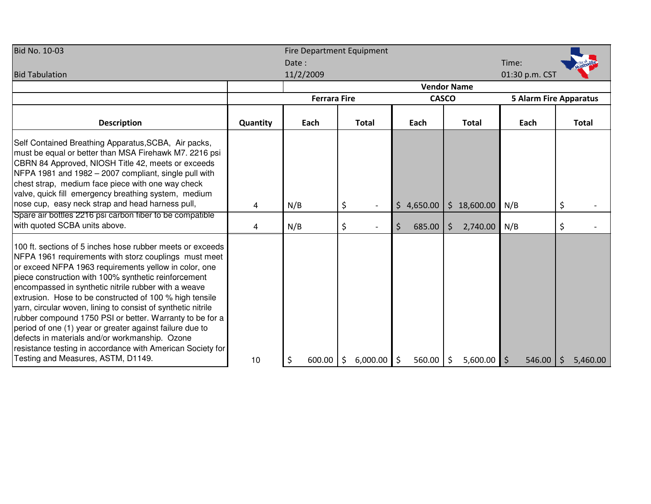| <b>Bid No. 10-03</b>                                                                                                                                                                                                                                                                                                                                                                                                                                                                                                                                                                                                                                                                                 |          | <b>Fire Department Equipment</b> |                                                                      |              |                     |                |                |  |  |  |  |  |  |
|------------------------------------------------------------------------------------------------------------------------------------------------------------------------------------------------------------------------------------------------------------------------------------------------------------------------------------------------------------------------------------------------------------------------------------------------------------------------------------------------------------------------------------------------------------------------------------------------------------------------------------------------------------------------------------------------------|----------|----------------------------------|----------------------------------------------------------------------|--------------|---------------------|----------------|----------------|--|--|--|--|--|--|
|                                                                                                                                                                                                                                                                                                                                                                                                                                                                                                                                                                                                                                                                                                      |          | Date:                            |                                                                      |              |                     | Time:          |                |  |  |  |  |  |  |
| <b>Bid Tabulation</b>                                                                                                                                                                                                                                                                                                                                                                                                                                                                                                                                                                                                                                                                                |          | 11/2/2009                        |                                                                      |              |                     | 01:30 p.m. CST |                |  |  |  |  |  |  |
|                                                                                                                                                                                                                                                                                                                                                                                                                                                                                                                                                                                                                                                                                                      |          | <b>Vendor Name</b>               |                                                                      |              |                     |                |                |  |  |  |  |  |  |
|                                                                                                                                                                                                                                                                                                                                                                                                                                                                                                                                                                                                                                                                                                      |          |                                  | <b>CASCO</b><br><b>Ferrara Fire</b><br><b>5 Alarm Fire Apparatus</b> |              |                     |                |                |  |  |  |  |  |  |
| <b>Description</b>                                                                                                                                                                                                                                                                                                                                                                                                                                                                                                                                                                                                                                                                                   | Quantity | Each                             | <b>Total</b>                                                         | Each         | <b>Total</b>        | Each           | Total          |  |  |  |  |  |  |
| Self Contained Breathing Apparatus, SCBA, Air packs,<br>must be equal or better than MSA Firehawk M7. 2216 psi<br>CBRN 84 Approved, NIOSH Title 42, meets or exceeds<br>NFPA 1981 and 1982 - 2007 compliant, single pull with<br>chest strap, medium face piece with one way check<br>valve, quick fill emergency breathing system, medium<br>nose cup, easy neck strap and head harness pull,                                                                                                                                                                                                                                                                                                       | 4        | N/B                              | \$                                                                   | \$4,650.00   | \$18,600.00         | N/B            | \$             |  |  |  |  |  |  |
| Spare air bottles 2216 psi carbon fiber to be compatible                                                                                                                                                                                                                                                                                                                                                                                                                                                                                                                                                                                                                                             |          |                                  |                                                                      |              |                     |                |                |  |  |  |  |  |  |
| with quoted SCBA units above.                                                                                                                                                                                                                                                                                                                                                                                                                                                                                                                                                                                                                                                                        | 4        | N/B                              | \$                                                                   | \$<br>685.00 | \$<br>2,740.00      | N/B            | \$             |  |  |  |  |  |  |
| 100 ft. sections of 5 inches hose rubber meets or exceeds<br>NFPA 1961 requirements with storz couplings must meet<br>or exceed NFPA 1963 requirements yellow in color, one<br>piece construction with 100% synthetic reinforcement<br>encompassed in synthetic nitrile rubber with a weave<br>extrusion. Hose to be constructed of 100 % high tensile<br>yarn, circular woven, lining to consist of synthetic nitrile<br>rubber compound 1750 PSI or better. Warranty to be for a<br>period of one (1) year or greater against failure due to<br>defects in materials and/or workmanship. Ozone<br>resistance testing in accordance with American Society for<br>Testing and Measures, ASTM, D1149. | 10       | 600.00                           | \$<br>6,000.00                                                       | \$<br>560.00 | $\zeta$<br>5,600.00 | 546.00<br>l \$ | \$<br>5,460.00 |  |  |  |  |  |  |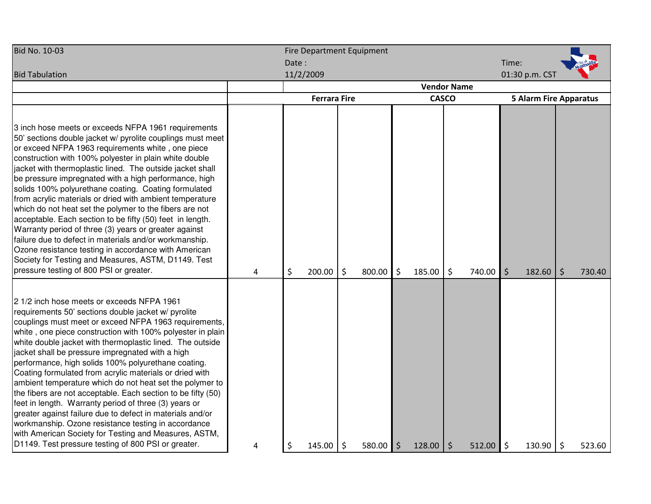| <b>Bid No. 10-03</b>                                                                                                                                                                                                                                                                                                                                                                                                                                                                                                                                                                                                                                                                                                                                                                                                                                                                 | <b>Fire Department Equipment</b> |       |                     |         |        |         |                    |              |                |         |                               |    |        |  |  |  |  |
|--------------------------------------------------------------------------------------------------------------------------------------------------------------------------------------------------------------------------------------------------------------------------------------------------------------------------------------------------------------------------------------------------------------------------------------------------------------------------------------------------------------------------------------------------------------------------------------------------------------------------------------------------------------------------------------------------------------------------------------------------------------------------------------------------------------------------------------------------------------------------------------|----------------------------------|-------|---------------------|---------|--------|---------|--------------------|--------------|----------------|---------|-------------------------------|----|--------|--|--|--|--|
|                                                                                                                                                                                                                                                                                                                                                                                                                                                                                                                                                                                                                                                                                                                                                                                                                                                                                      |                                  | Date: |                     |         |        |         |                    |              |                | Time:   |                               |    |        |  |  |  |  |
| <b>Bid Tabulation</b>                                                                                                                                                                                                                                                                                                                                                                                                                                                                                                                                                                                                                                                                                                                                                                                                                                                                | 11/2/2009                        |       |                     |         |        |         |                    |              | 01:30 p.m. CST |         |                               |    |        |  |  |  |  |
|                                                                                                                                                                                                                                                                                                                                                                                                                                                                                                                                                                                                                                                                                                                                                                                                                                                                                      |                                  |       |                     |         |        |         | <b>Vendor Name</b> |              |                |         |                               |    |        |  |  |  |  |
|                                                                                                                                                                                                                                                                                                                                                                                                                                                                                                                                                                                                                                                                                                                                                                                                                                                                                      |                                  |       | <b>Ferrara Fire</b> |         |        |         |                    | <b>CASCO</b> |                |         | <b>5 Alarm Fire Apparatus</b> |    |        |  |  |  |  |
| 3 inch hose meets or exceeds NFPA 1961 requirements<br>50' sections double jacket w/ pyrolite couplings must meet<br>or exceed NFPA 1963 requirements white, one piece<br>construction with 100% polyester in plain white double<br>jacket with thermoplastic lined. The outside jacket shall<br>be pressure impregnated with a high performance, high<br>solids 100% polyurethane coating. Coating formulated<br>from acrylic materials or dried with ambient temperature<br>which do not heat set the polymer to the fibers are not<br>acceptable. Each section to be fifty (50) feet in length.<br>Warranty period of three (3) years or greater against<br>failure due to defect in materials and/or workmanship.<br>Ozone resistance testing in accordance with American<br>Society for Testing and Measures, ASTM, D1149. Test<br>pressure testing of 800 PSI or greater.      | 4                                | \$    | 200.00              | $\zeta$ | 800.00 | $\zeta$ | 185.00             | \$           | 740.00         | $\zeta$ | 182.60                        | \$ | 730.40 |  |  |  |  |
| 2 1/2 inch hose meets or exceeds NFPA 1961<br>requirements 50' sections double jacket w/ pyrolite<br>couplings must meet or exceed NFPA 1963 requirements,<br>white, one piece construction with 100% polyester in plain<br>white double jacket with thermoplastic lined. The outside<br>jacket shall be pressure impregnated with a high<br>performance, high solids 100% polyurethane coating.<br>Coating formulated from acrylic materials or dried with<br>ambient temperature which do not heat set the polymer to<br>the fibers are not acceptable. Each section to be fifty (50)<br>feet in length. Warranty period of three (3) years or<br>greater against failure due to defect in materials and/or<br>workmanship. Ozone resistance testing in accordance<br>with American Society for Testing and Measures, ASTM,<br>D1149. Test pressure testing of 800 PSI or greater. | 4                                | \$    | 145.00              | \$      | 580.00 | $\zeta$ | 128.00             | \$           | 512.00         | \$      | 130.90                        | \$ | 523.60 |  |  |  |  |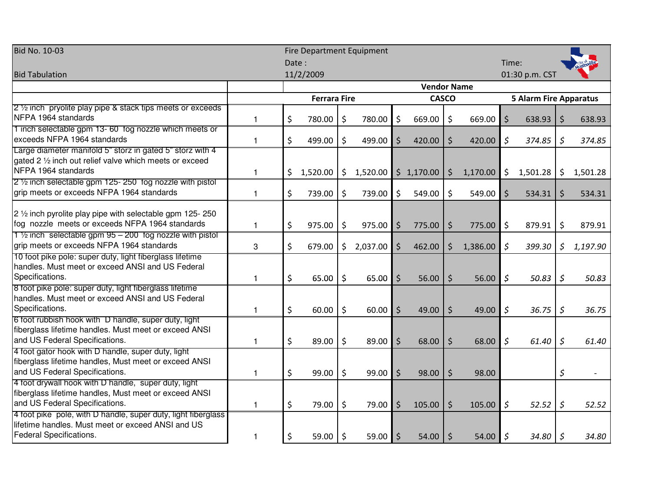| <b>Bid No. 10-03</b>                                                                                                                            | <b>Fire Department Equipment</b> |       |                     |    |            |                    |                    |         |          |                               |                |              |          |
|-------------------------------------------------------------------------------------------------------------------------------------------------|----------------------------------|-------|---------------------|----|------------|--------------------|--------------------|---------|----------|-------------------------------|----------------|--------------|----------|
|                                                                                                                                                 |                                  | Date: |                     |    |            |                    |                    |         |          | Time:                         |                |              |          |
| <b>Bid Tabulation</b>                                                                                                                           |                                  |       | 11/2/2009           |    |            |                    |                    |         |          |                               | 01:30 p.m. CST |              |          |
|                                                                                                                                                 |                                  |       |                     |    |            |                    | <b>Vendor Name</b> |         |          |                               |                |              |          |
|                                                                                                                                                 |                                  |       | <b>Ferrara Fire</b> |    |            |                    | <b>CASCO</b>       |         |          | <b>5 Alarm Fire Apparatus</b> |                |              |          |
| 2 1/2 inch pryolite play pipe & stack tips meets or exceeds                                                                                     |                                  |       |                     |    |            |                    |                    |         |          |                               |                |              |          |
| NFPA 1964 standards                                                                                                                             | 1                                | \$    | 780.00              | \$ | 780.00     | \$                 | 669.00             | \$      | 669.00   | \$                            | 638.93         | \$           | 638.93   |
| 1 inch selectable gpm 13- 60 fog nozzle which meets or<br>exceeds NFPA 1964 standards                                                           | $\mathbf{1}$                     | \$    | 499.00              | \$ | 499.00     | $\zeta$            | 420.00             | \$      | 420.00   | \$                            | 374.85         | \$           | 374.85   |
| Large diameter manifold 5" storz in gated 5" storz with 4<br>gated 2 1/2 inch out relief valve which meets or exceed<br>NFPA 1964 standards     | $\mathbf{1}$                     |       | \$1,520.00          | \$ | 1,520.00   |                    | \$1,170.00         | \$      | 1,170.00 | $\zeta$                       | 1,501.28       | \$           | 1,501.28 |
| 2 1/2 inch selectable gpm 125-250 tog nozzle with pistol<br>grip meets or exceeds NFPA 1964 standards                                           | $\mathbf{1}$                     | \$    | 739.00              | \$ | 739.00     | $\zeta$            | 549.00             | \$      | 549.00   | $\zeta$                       | 534.31         | \$           | 534.31   |
| $2\frac{1}{2}$ inch pyrolite play pipe with selectable gpm 125-250<br>fog nozzle meets or exceeds NFPA 1964 standards                           | $\mathbf{1}$                     | \$    | 975.00              | \$ | 975.00     | $\zeta$            | 775.00             | \$      | 775.00   | $\zeta$                       | 879.91         | \$           | 879.91   |
| 1 1/2 inch selectable gpm 95 - 200 fog nozzle with pistol<br>grip meets or exceeds NFPA 1964 standards                                          | 3                                | \$    | 679.00              | \$ | 2,037.00   | $\zeta$            | 462.00             | \$      | 1,386.00 | \$                            | 399.30         | \$           | 1,197.90 |
| 10 foot pike pole: super duty, light fiberglass lifetime<br>handles. Must meet or exceed ANSI and US Federal<br>Specifications.                 | $\mathbf{1}$                     | \$    | 65.00               | \$ | 65.00      | $\zeta$            | 56.00              | \$      | 56.00    | $\varsigma$                   | 50.83          | $\varsigma$  | 50.83    |
| 8 foot pike pole: super duty, light fiberglass lifetime<br>handles. Must meet or exceed ANSI and US Federal<br>Specifications.                  | 1                                | \$    | 60.00               | \$ | 60.00      | $\mathsf{\dot{S}}$ | 49.00              | $\zeta$ | 49.00    | $\mathsf{\mathcal{S}}$        | 36.75          | $\mathsf{S}$ | 36.75    |
| 6 foot rubbish hook with D handle, super duty, light<br>fiberglass lifetime handles. Must meet or exceed ANSI<br>and US Federal Specifications. | 1                                | \$    | 89.00               | \$ | 89.00      | $\zeta$            | 68.00              | \$      | 68.00    | $\zeta$                       | 61.40          | $\zeta$      | 61.40    |
| 4 foot gator hook with D handle, super duty, light<br>fiberglass lifetime handles, Must meet or exceed ANSI<br>and US Federal Specifications.   | $\mathbf{1}$                     | \$    | 99.00               | \$ | 99.00      | $\zeta$            | 98.00              | \$      | 98.00    |                               |                | \$           |          |
| 4 foot drywall hook with D handle, super duty, light<br>fiberglass lifetime handles, Must meet or exceed ANSI<br>and US Federal Specifications. | $\mathbf{1}$                     | \$    | 79.00               | \$ | 79.00      | $\zeta$            | 105.00             | \$      | 105.00   | $\varsigma$                   | 52.52          | $\varsigma$  | 52.52    |
| 4 foot pike pole, with D handle, super duty, light fiberglass<br>lifetime handles. Must meet or exceed ANSI and US<br>Federal Specifications.   | 1                                | \$    | 59.00               | \$ | $59.00$ \$ |                    | 54.00              | \$      | 54.00    | l \$                          | $34.80$ \$     |              | 34.80    |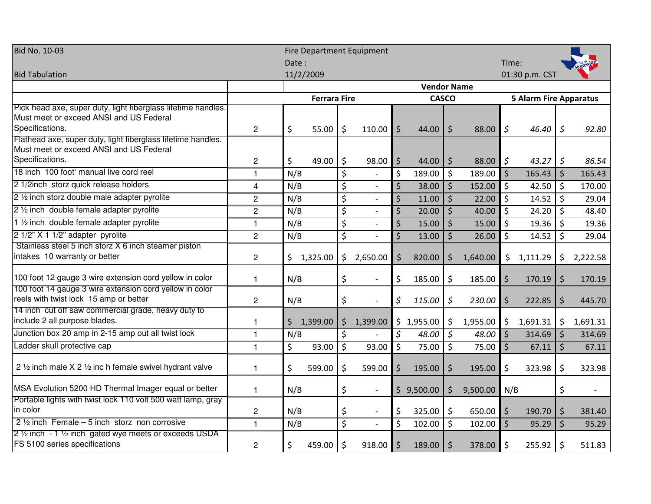| <b>Bid No. 10-03</b>                                                                          | <b>Fire Department Equipment</b> |                    |                     |    |                          |             |              |             |          |               |                               |                |          |
|-----------------------------------------------------------------------------------------------|----------------------------------|--------------------|---------------------|----|--------------------------|-------------|--------------|-------------|----------|---------------|-------------------------------|----------------|----------|
|                                                                                               |                                  |                    |                     |    |                          | Time:       |              |             |          |               |                               |                |          |
| <b>Bid Tabulation</b>                                                                         |                                  |                    | 11/2/2009           |    |                          |             |              |             |          |               | 01:30 p.m. CST                |                |          |
|                                                                                               |                                  | <b>Vendor Name</b> |                     |    |                          |             |              |             |          |               |                               |                |          |
|                                                                                               |                                  |                    | <b>Ferrara Fire</b> |    |                          |             | <b>CASCO</b> |             |          |               | <b>5 Alarm Fire Apparatus</b> |                |          |
| Pick head axe, super duty, light fiberglass lifetime handles.                                 |                                  |                    |                     |    |                          |             |              |             |          |               |                               |                |          |
| Must meet or exceed ANSI and US Federal<br>Specifications.                                    | $\overline{2}$                   | \$                 | 55.00               | \$ | 110.00                   | $\zeta$     | 44.00        | $\zeta$     | 88.00    | \$            | 46.40                         | $\mathsf{S}$   | 92.80    |
| Flathead axe, super duty, light fiberglass lifetime handles.                                  |                                  |                    |                     |    |                          |             |              |             |          |               |                               |                |          |
| Must meet or exceed ANSI and US Federal                                                       |                                  |                    |                     |    |                          |             |              |             |          |               |                               |                |          |
| Specifications.                                                                               | $\overline{c}$                   | \$                 | 49.00               | \$ | 98.00                    | $\zeta$     | 44.00        | \$          | 88.00    | $\varsigma$   | 43.27                         | $\mathfrak{S}$ | 86.54    |
| 18 inch 100 foot manual live cord reel                                                        | 1                                | N/B                |                     | \$ |                          | $\zeta$     | 189.00       | \$          | 189.00   | $\zeta$       | 165.43                        | $\zeta$        | 165.43   |
| 2 1/2inch storz quick release holders                                                         | 4                                | N/B                |                     | \$ |                          | $\zeta$     | 38.00        | $\zeta$     | 152.00   | \$            | 42.50                         | $\zeta$        | 170.00   |
| 2 1/2 inch storz double male adapter pyrolite                                                 | $\overline{c}$                   | N/B                |                     | \$ |                          | $\zeta$     | 11.00        | $\zeta$     | 22.00    | \$            | 14.52                         | \$             | 29.04    |
| 2 1/2 inch double female adapter pyrolite                                                     | $\overline{c}$                   | N/B                |                     | \$ |                          | $\varsigma$ | 20.00        | $\zeta$     | 40.00    | \$            | 24.20                         | $\zeta$        | 48.40    |
| 1 1/2 inch double female adapter pyrolite                                                     | $\mathbf{1}$                     | N/B                |                     | \$ |                          | $\varsigma$ | 15.00        | $\zeta$     | 15.00    | \$            | 19.36                         | \$             | 19.36    |
| 2 1/2" X 1 1/2" adapter pyrolite                                                              | $\overline{c}$                   | N/B                |                     | \$ |                          | $\zeta$     | 13.00        | $\zeta$     | 26.00    | \$            | 14.52                         | \$             | 29.04    |
| Stainless steel 5 inch storz X 6 inch steamer piston                                          |                                  |                    |                     |    |                          |             |              |             |          |               |                               |                |          |
| intakes 10 warranty or better                                                                 | $\overline{c}$                   |                    | \$1,325.00          | \$ | 2,650.00                 | \$          | 820.00       | \$          | 1,640.00 | $\frac{1}{2}$ | 1,111.29                      | \$.            | 2,222.58 |
| 100 foot 12 gauge 3 wire extension cord yellow in color                                       | $\mathbf{1}$                     | N/B                |                     | \$ |                          | \$          | 185.00       | \$          | 185.00   | \$            | 170.19                        | \$             | 170.19   |
| 100 foot 14 gauge 3 wire extension cord yellow in color                                       |                                  |                    |                     |    |                          |             |              |             |          |               |                               |                |          |
| reels with twist lock 15 amp or better<br>14 inch cut off saw commercial grade, heavy duty to | $\overline{c}$                   | N/B                |                     | \$ |                          | \$          | 115.00       | $\varsigma$ | 230.00   | $\zeta$       | 222.85                        | $\zeta$        | 445.70   |
| include 2 all purpose blades.                                                                 | $\mathbf{1}$                     | \$                 | 1,399.00            | \$ | 1,399.00                 |             | \$1,955.00   | \$          | 1,955.00 | $\zeta$       | 1,691.31                      | $\zeta$        | 1,691.31 |
| Junction box 20 amp in 2-15 amp out all twist lock                                            | $\mathbf{1}$                     | N/B                |                     | \$ |                          | $\varsigma$ | 48.00        | \$          | 48.00    | \$            | 314.69                        | $\zeta$        | 314.69   |
| Ladder skull protective cap                                                                   | $\mathbf{1}$                     | \$                 | 93.00               | \$ | 93.00                    | $\zeta$     | 75.00        | \$          | 75.00    | \$            | 67.11                         | $\zeta$        | 67.11    |
|                                                                                               |                                  |                    |                     |    |                          |             |              |             |          |               |                               |                |          |
| 2 $\frac{1}{2}$ inch male X 2 $\frac{1}{2}$ inc h female swivel hydrant valve                 | 1                                | \$                 | 599.00              | \$ | 599.00                   | $\zeta$     | 195.00       | \$          | 195.00   | \$            | 323.98                        | \$             | 323.98   |
| MSA Evolution 5200 HD Thermal Imager equal or better                                          | $\mathbf{1}$                     | N/B                |                     | \$ |                          |             | \$9,500.00   | \$          | 9,500.00 | N/B           |                               | \$             |          |
| Portable lights with twist lock 110 volt 500 watt lamp, gray                                  |                                  |                    |                     |    |                          |             |              |             |          |               |                               |                |          |
| in color<br>2 $\frac{1}{2}$ inch Female – 5 inch storz non corrosive                          | $\overline{c}$                   | N/B                |                     | \$ | $\overline{\phantom{a}}$ | $\zeta$     | 325.00       | \$          | 650.00   | \$            | 190.70                        | \$             | 381.40   |
|                                                                                               | $\mathbf{1}$                     | N/B                |                     | \$ |                          | $\zeta$     | 102.00       | \$          | 102.00   | $\zeta$       | 95.29                         | $\zeta$        | 95.29    |
| 2 1/2 inch - 1 1/2 inch gated wye meets or exceeds USDA<br>FS 5100 series specifications      | $\overline{c}$                   | \$                 | 459.00              | \$ | 918.00                   | $\zeta$     | 189.00       | \$          | 378.00   | \$            | 255.92                        | \$             | 511.83   |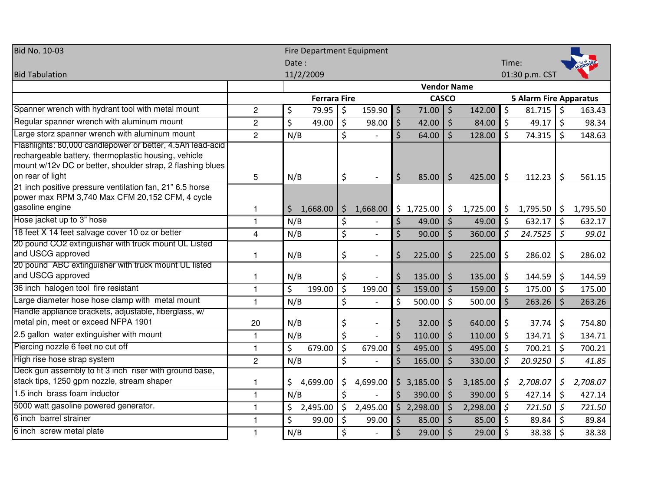| <b>Bid No. 10-03</b>                                                                                                                                                                                 | <b>Fire Department Equipment</b> |                    |                     |                        |          |         |              |         |          |                               |                  |                     |          |  |
|------------------------------------------------------------------------------------------------------------------------------------------------------------------------------------------------------|----------------------------------|--------------------|---------------------|------------------------|----------|---------|--------------|---------|----------|-------------------------------|------------------|---------------------|----------|--|
|                                                                                                                                                                                                      |                                  | Date:              |                     |                        |          |         |              |         |          | Time:                         |                  |                     |          |  |
| <b>Bid Tabulation</b>                                                                                                                                                                                |                                  |                    | 11/2/2009           |                        |          |         |              |         |          |                               | 01:30 p.m. CST   |                     |          |  |
|                                                                                                                                                                                                      |                                  | <b>Vendor Name</b> |                     |                        |          |         |              |         |          |                               |                  |                     |          |  |
|                                                                                                                                                                                                      |                                  |                    | <b>Ferrara Fire</b> |                        |          |         | <b>CASCO</b> |         |          | <b>5 Alarm Fire Apparatus</b> |                  |                     |          |  |
| Spanner wrench with hydrant tool with metal mount                                                                                                                                                    | $\overline{c}$                   | \$                 | 79.95               | $\zeta$                | 159.90   | $\zeta$ | 71.00        | $\zeta$ | 142.00   | $\zeta$                       | $81.715$ \$      |                     | 163.43   |  |
| Regular spanner wrench with aluminum mount                                                                                                                                                           | $\overline{2}$                   | \$                 | 49.00               | $\overline{\xi}$       | 98.00    | $\zeta$ | 42.00        | $\zeta$ | 84.00    | $\zeta$                       | 49.17 $\vert$ \$ |                     | 98.34    |  |
| Large storz spanner wrench with aluminum mount                                                                                                                                                       | $\overline{2}$                   | N/B                |                     | $\zeta$                |          | $\zeta$ | 64.00        | \$      | 128.00   | \$                            | 74.315           | \$                  | 148.63   |  |
| Flashlights: 80,000 candlepower or better, 4.5Ah lead-acid<br>rechargeable battery, thermoplastic housing, vehicle<br>mount w/12v DC or better, shoulder strap, 2 flashing blues<br>on rear of light | 5                                | N/B                |                     | \$                     |          | $\zeta$ | 85.00        | $\zeta$ | 425.00   | $\zeta$                       | 112.23           | \$                  | 561.15   |  |
| 21 inch positive pressure ventilation fan, 21" 6.5 horse<br>power max RPM 3,740 Max CFM 20,152 CFM, 4 cycle<br>gasoline engine                                                                       | 1                                | \$                 | 1,668.00            | \$                     | 1,668.00 |         | \$1,725.00   | \$      | 1,725.00 | \$                            | 1,795.50         | \$                  | 1,795.50 |  |
| Hose jacket up to 3" hose                                                                                                                                                                            | $\mathbf{1}$                     | N/B                |                     | \$                     |          | $\zeta$ | 49.00        | $\zeta$ | 49.00    | $\zeta$                       | 632.17           | $\ddot{\mathsf{S}}$ | 632.17   |  |
| 18 feet X 14 feet salvage cover 10 oz or better                                                                                                                                                      | 4                                | N/B                |                     | \$                     |          | $\zeta$ | 90.00        | \$      | 360.00   | $\zeta$                       | 24.7525          | \$                  | 99.01    |  |
| 20 pound CO2 extinguisher with truck mount UL Listed<br>and USCG approved                                                                                                                            | 1                                | N/B                |                     | \$                     |          | \$      | 225.00       | \$      | 225.00   | \$                            | 286.02           | \$                  | 286.02   |  |
| 20 pound ABC extinguisher with truck mount UL listed<br>and USCG approved                                                                                                                            | 1                                | N/B                |                     | \$                     |          | \$      | 135.00       | \$      | 135.00   | \$                            | 144.59           | \$                  | 144.59   |  |
| 36 inch halogen tool fire resistant                                                                                                                                                                  | $\mathbf{1}$                     | \$                 | 199.00              | $\zeta$                | 199.00   | $\zeta$ | 159.00       | \$      | 159.00   | $\zeta$                       | 175.00           | \$                  | 175.00   |  |
| Large diameter hose hose clamp with metal mount                                                                                                                                                      | $\mathbf{1}$                     | N/B                |                     | \$                     |          | $\zeta$ | 500.00       | \$      | 500.00   | $\zeta$                       | 263.26           | $\zeta$             | 263.26   |  |
| Handle appliance brackets, adjustable, tiberglass, w/<br>metal pin, meet or exceed NFPA 1901                                                                                                         | 20                               | N/B                |                     | \$                     |          | \$      | 32.00        | \$      | 640.00   | $\zeta$                       | 37.74            | \$                  | 754.80   |  |
| 2.5 gallon water extinguisher with mount                                                                                                                                                             | 1                                | N/B                |                     | $\overline{\varsigma}$ |          | $\zeta$ | 110.00       | \$      | 110.00   | \$                            | 134.71           | \$                  | 134.71   |  |
| Piercing nozzle 6 feet no cut off                                                                                                                                                                    | $\mathbf{1}$                     | \$                 | 679.00              | $\zeta$                | 679.00   | $\zeta$ | 495.00       | $\zeta$ | 495.00   | $\zeta$                       | 700.21           | \$                  | 700.21   |  |
| High rise hose strap system                                                                                                                                                                          | $\mathbf{2}$                     | N/B                |                     | \$                     |          | $\zeta$ | 165.00       | \$      | 330.00   | $\zeta$                       | 20.9250          | \$                  | 41.85    |  |
| Deck gun assembly to fit 3 inch riser with ground base,<br>stack tips, 1250 gpm nozzle, stream shaper                                                                                                | 1                                | \$                 | 4,699.00            | \$                     | 4,699.00 |         | \$3,185.00   | \$      | 3,185.00 | \$                            | 2,708.07         | \$                  | 2,708.07 |  |
| 1.5 inch brass foam inductor                                                                                                                                                                         | $\mathbf{1}$                     | N/B                |                     | $\zeta$                |          | $\zeta$ | 390.00       | $\zeta$ | 390.00   | $\zeta$                       | 427.14           | \$                  | 427.14   |  |
| 5000 watt gasoline powered generator.                                                                                                                                                                | 1                                | \$                 | 2,495.00            | $\ddot{\mathsf{S}}$    | 2,495.00 |         | \$2,298.00   | $\zeta$ | 2,298.00 | $\zeta$                       | 721.50           | $\zeta$             | 721.50   |  |
| 6 inch barrel strainer                                                                                                                                                                               | 1                                | $\overline{\xi}$   | 99.00               | $\overline{\xi}$       | 99.00    | $\zeta$ | 85.00        | \$      | 85.00    | $\zeta$                       | 89.84            | $\zeta$             | 89.84    |  |
| 6 inch screw metal plate                                                                                                                                                                             | 1                                | N/B                |                     | \$                     |          | \$      | 29.00        | \$      | 29.00    | $\zeta$                       | 38.38            | \$                  | 38.38    |  |